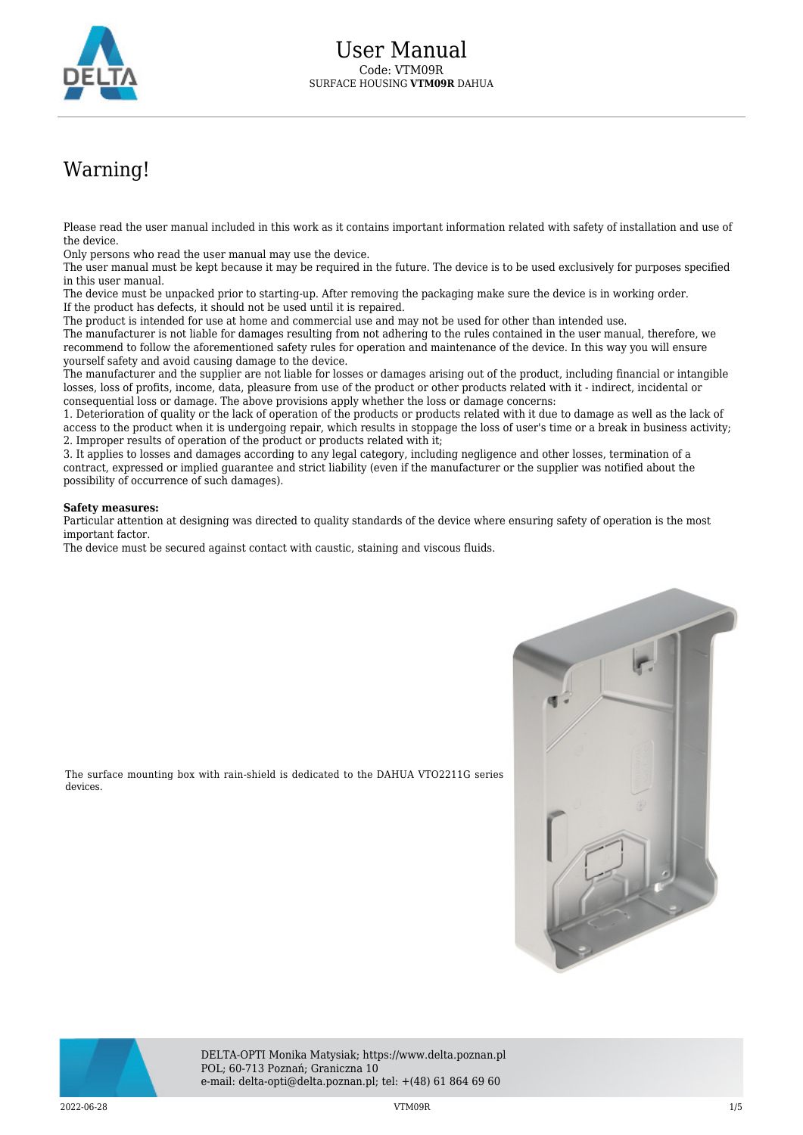

## Warning!

Please read the user manual included in this work as it contains important information related with safety of installation and use of the device.

Only persons who read the user manual may use the device.

The user manual must be kept because it may be required in the future. The device is to be used exclusively for purposes specified in this user manual.

The device must be unpacked prior to starting-up. After removing the packaging make sure the device is in working order. If the product has defects, it should not be used until it is repaired.

The product is intended for use at home and commercial use and may not be used for other than intended use.

The manufacturer is not liable for damages resulting from not adhering to the rules contained in the user manual, therefore, we recommend to follow the aforementioned safety rules for operation and maintenance of the device. In this way you will ensure yourself safety and avoid causing damage to the device.

The manufacturer and the supplier are not liable for losses or damages arising out of the product, including financial or intangible losses, loss of profits, income, data, pleasure from use of the product or other products related with it - indirect, incidental or consequential loss or damage. The above provisions apply whether the loss or damage concerns:

1. Deterioration of quality or the lack of operation of the products or products related with it due to damage as well as the lack of access to the product when it is undergoing repair, which results in stoppage the loss of user's time or a break in business activity; 2. Improper results of operation of the product or products related with it;

3. It applies to losses and damages according to any legal category, including negligence and other losses, termination of a contract, expressed or implied guarantee and strict liability (even if the manufacturer or the supplier was notified about the possibility of occurrence of such damages).

## **Safety measures:**

Particular attention at designing was directed to quality standards of the device where ensuring safety of operation is the most important factor.

The device must be secured against contact with caustic, staining and viscous fluids.

The surface mounting box with rain-shield is dedicated to the DAHUA VTO2211G series





DELTA-OPTI Monika Matysiak; https://www.delta.poznan.pl POL; 60-713 Poznań; Graniczna 10 e-mail: delta-opti@delta.poznan.pl; tel: +(48) 61 864 69 60

2022-06-28 VTM09R 1/5

devices.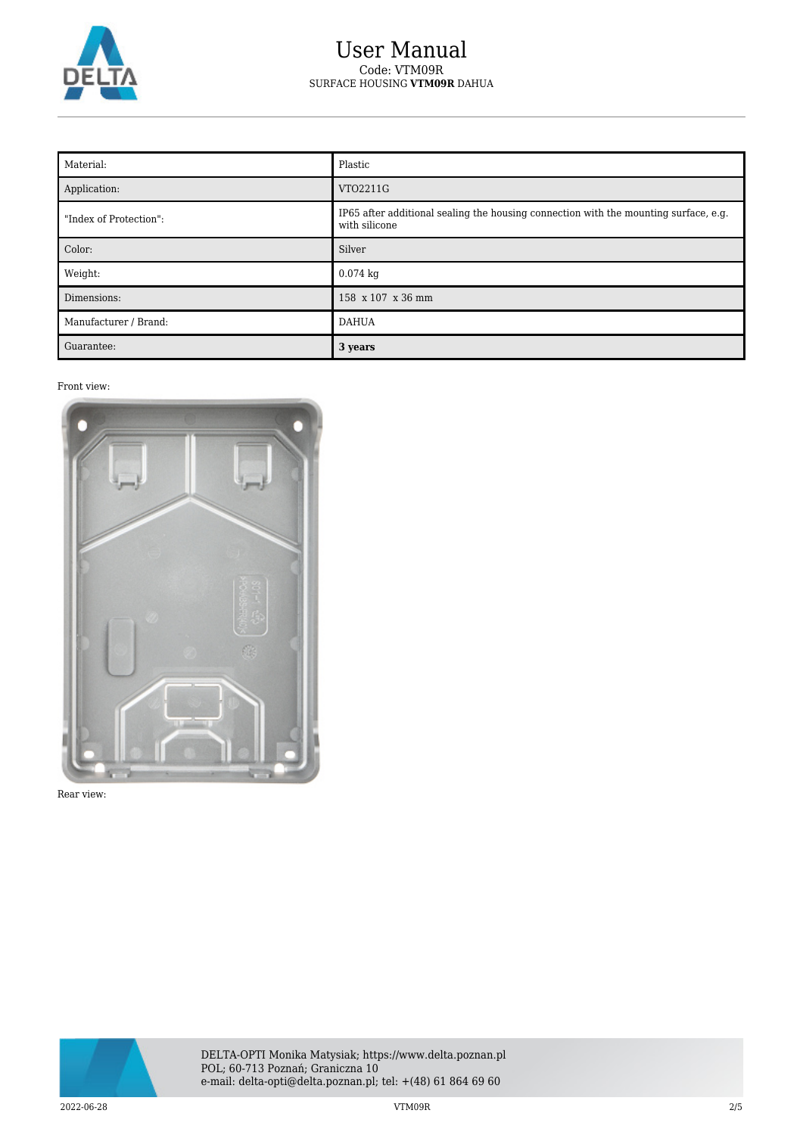

## User Manual Code: VTM09R SURFACE HOUSING **VTM09R** DAHUA

| Material:              | Plastic                                                                                               |
|------------------------|-------------------------------------------------------------------------------------------------------|
| Application:           | VTO2211G                                                                                              |
| "Index of Protection": | IP65 after additional sealing the housing connection with the mounting surface, e.g.<br>with silicone |
| Color:                 | Silver                                                                                                |
| Weight:                | $0.074$ kg                                                                                            |
| Dimensions:            | 158 x 107 x 36 mm                                                                                     |
| Manufacturer / Brand:  | <b>DAHUA</b>                                                                                          |
| Guarantee:             | 3 years                                                                                               |

## Front view:



Rear view:

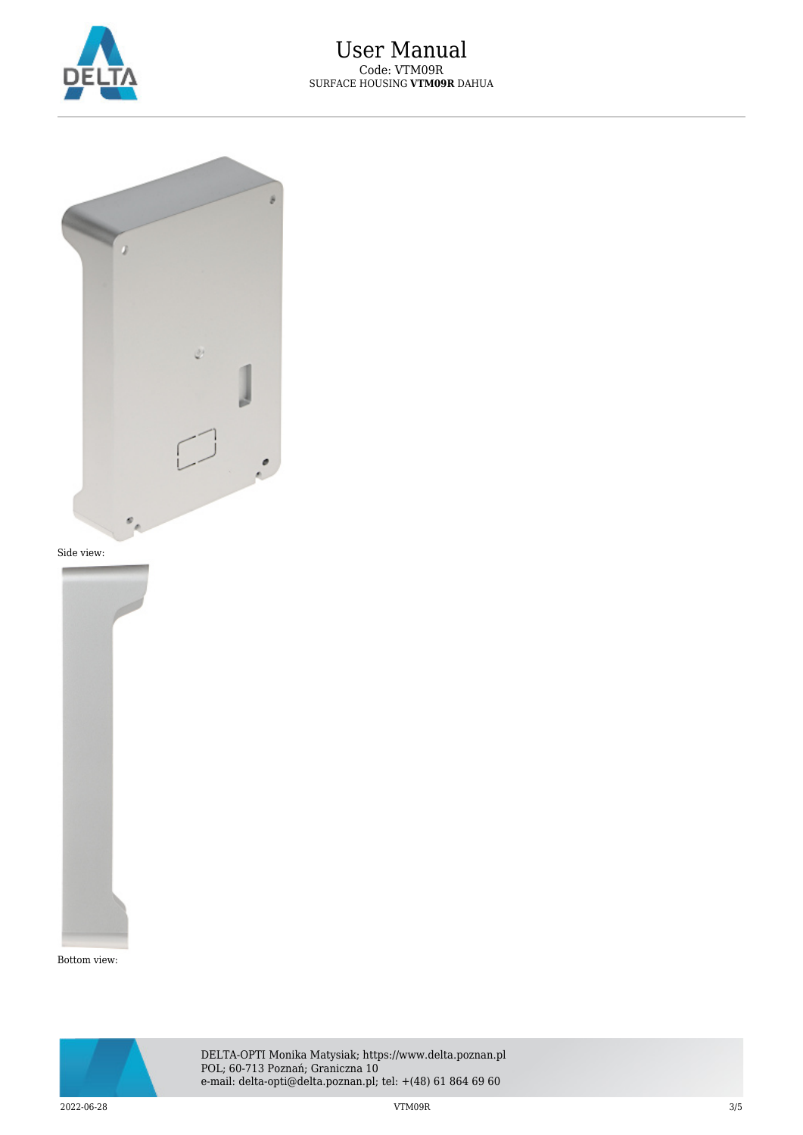



Side view:



Bottom view:

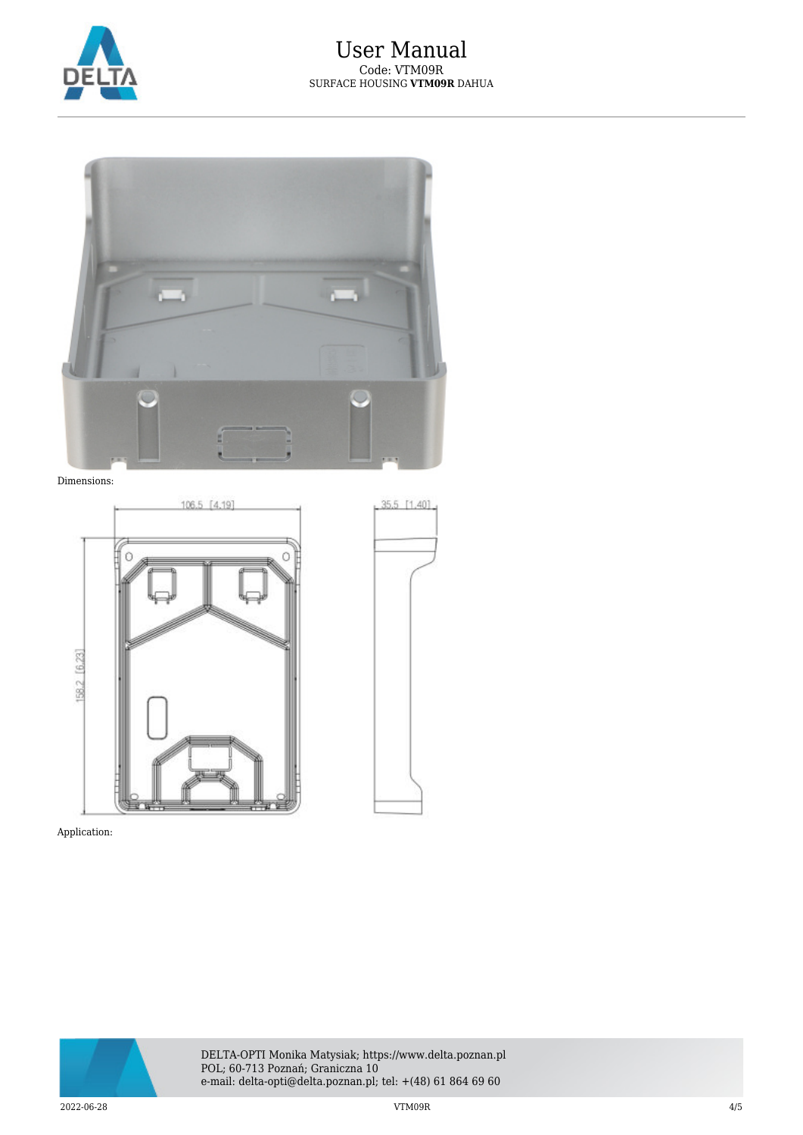

35.5 [1.40]



Dimensions:



Application: